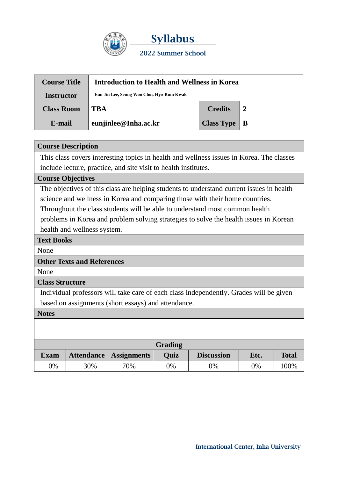

**Syllabus 2022 Summer School**

| <b>Course Title</b>            | <b>Introduction to Health and Wellness in Korea</b> |                   |              |  |  |
|--------------------------------|-----------------------------------------------------|-------------------|--------------|--|--|
| <b>Instructor</b>              | Eun Jin Lee, Seung Woo Choi, Hyo-Bum Kwak           |                   |              |  |  |
| <b>Class Room</b>              | TRA                                                 | <b>Credits</b>    |              |  |  |
| eunjinlee@Inha.ac.kr<br>E-mail |                                                     | <b>Class Type</b> | $\mathbf{B}$ |  |  |

# **Course Description**

This class covers interesting topics in health and wellness issues in Korea. The classes include lecture, practice, and site visit to health institutes.

## **Course Objectives**

The objectives of this class are helping students to understand current issues in health science and wellness in Korea and comparing those with their home countries. Throughout the class students will be able to understand most common health

problems in Korea and problem solving strategies to solve the health issues in Korean health and wellness system.

### **Text Books**

None

# **Other Texts and References**

None

#### **Class Structure**

Individual professors will take care of each class independently. Grades will be given based on assignments (short essays) and attendance.

#### **Notes**

| Grading     |     |                          |      |                   |      |              |  |  |
|-------------|-----|--------------------------|------|-------------------|------|--------------|--|--|
| <b>Exam</b> |     | Attendance   Assignments | Ouiz | <b>Discussion</b> | Etc. | <b>Total</b> |  |  |
| 0%          | 30% | 70%                      | 9%   | $\frac{1}{2}$     | 0%   | 100%         |  |  |